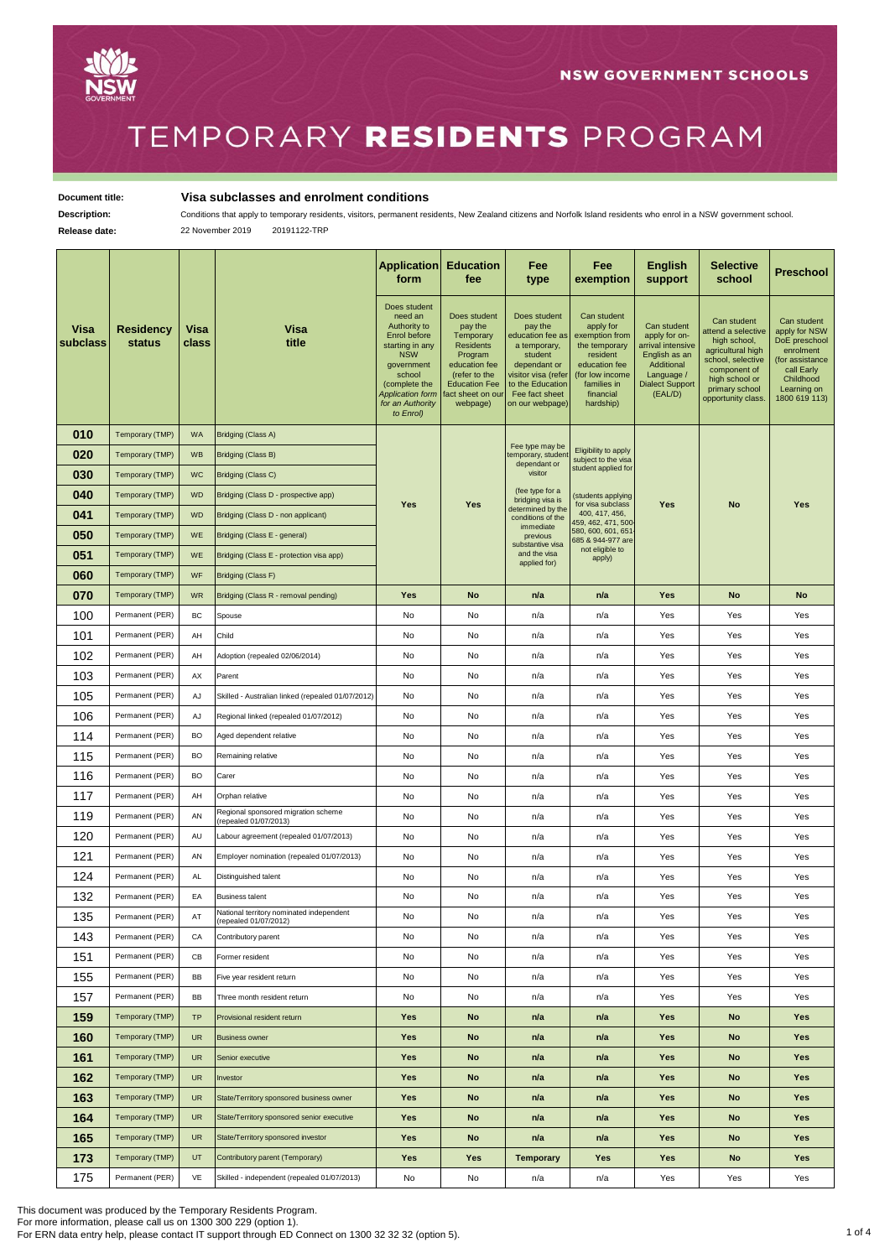

## TEMPORARY RESIDENTS PROGRAM

## **Document title: Visa subclasses and enrolment conditions**

Description: Conditions that apply to temporary residents, visitors, permanent residents, New Zealand citizens and Norfolk Island residents who enrol in a NSW government school.

**Release date:** 22 November 2019 20191122-TRP

|                  |                                   |               |                                                                   | Application<br>form                                                                                                                                                                           | <b>Education</b><br>fee                                                                                                                                        | Fee<br>type                                                                                                                                                            | Fee<br>exemption                                                                                                                                     | <b>English</b><br>support                                                                                                           | <b>Selective</b><br>school                                                                                                                                            | Preschool                                                                                                                                |
|------------------|-----------------------------------|---------------|-------------------------------------------------------------------|-----------------------------------------------------------------------------------------------------------------------------------------------------------------------------------------------|----------------------------------------------------------------------------------------------------------------------------------------------------------------|------------------------------------------------------------------------------------------------------------------------------------------------------------------------|------------------------------------------------------------------------------------------------------------------------------------------------------|-------------------------------------------------------------------------------------------------------------------------------------|-----------------------------------------------------------------------------------------------------------------------------------------------------------------------|------------------------------------------------------------------------------------------------------------------------------------------|
| Visa<br>subclass | <b>Residency</b><br><b>status</b> | Visa<br>class | Visa<br>title                                                     | Does student<br>need an<br>Authority to<br>Enrol before<br>starting in any<br><b>NSW</b><br>government<br>school<br>(complete the<br><b>Application form</b><br>for an Authority<br>to Enrol) | Does student<br>pay the<br>Temporary<br><b>Residents</b><br>Program<br>education fee<br>(refer to the<br><b>Education Fee</b><br>fact sheet on our<br>webpage) | Does student<br>pay the<br>education fee as<br>a temporary,<br>student<br>dependant or<br>visitor visa (refer<br>to the Education<br>Fee fact sheet<br>on our webpage) | Can student<br>apply for<br>exemption from<br>the temporary<br>resident<br>education fee<br>(for low income<br>families in<br>financial<br>hardship) | Can student<br>apply for on-<br>arrival intensive<br>English as an<br>Additional<br>Language /<br><b>Dialect Support</b><br>(EAL/D) | Can student<br>attend a selective<br>high school,<br>agricultural high<br>school, selective<br>component of<br>high school or<br>primary school<br>opportunity class. | Can student<br>apply for NSW<br>DoE preschool<br>enrolment<br>(for assistance<br>call Early<br>Childhood<br>Learning on<br>1800 619 113) |
| 010              | Temporary (TMP)                   | WA            | Bridging (Class A)                                                |                                                                                                                                                                                               |                                                                                                                                                                |                                                                                                                                                                        |                                                                                                                                                      |                                                                                                                                     |                                                                                                                                                                       |                                                                                                                                          |
| 020              | Temporary (TMP)                   | <b>WB</b>     | Bridging (Class B)                                                |                                                                                                                                                                                               |                                                                                                                                                                | Fee type may be<br>temporary, student<br>dependant or<br>visitor                                                                                                       | Eligibility to apply<br>subject to the visa                                                                                                          |                                                                                                                                     |                                                                                                                                                                       |                                                                                                                                          |
| 030              | Temporary (TMP)                   | WC            | Bridging (Class C)                                                |                                                                                                                                                                                               |                                                                                                                                                                |                                                                                                                                                                        | student applied for                                                                                                                                  |                                                                                                                                     |                                                                                                                                                                       |                                                                                                                                          |
| 040              | Temporary (TMP)                   | <b>WD</b>     | Bridging (Class D - prospective app)                              | <b>Yes</b>                                                                                                                                                                                    | Yes                                                                                                                                                            | (fee type for a<br>bridging visa is                                                                                                                                    | (students applying<br>for visa subclass                                                                                                              | Yes                                                                                                                                 | No                                                                                                                                                                    |                                                                                                                                          |
| 041              | Temporary (TMP)                   | <b>WD</b>     | Bridging (Class D - non applicant)                                |                                                                                                                                                                                               |                                                                                                                                                                | determined by the<br>conditions of the<br>immediate<br>previous<br>substantive visa<br>and the visa<br>applied for)                                                    | 400, 417, 456,<br>459, 462, 471, 500<br>580, 600, 601, 651<br>685 & 944-977 are<br>not eligible to<br>apply)                                         |                                                                                                                                     |                                                                                                                                                                       | Yes                                                                                                                                      |
| 050              | Temporary (TMP)                   | WE            | Bridging (Class E - general)                                      |                                                                                                                                                                                               |                                                                                                                                                                |                                                                                                                                                                        |                                                                                                                                                      |                                                                                                                                     |                                                                                                                                                                       |                                                                                                                                          |
| 051              | Temporary (TMP)                   | <b>WE</b>     | Bridging (Class E - protection visa app)                          |                                                                                                                                                                                               |                                                                                                                                                                |                                                                                                                                                                        |                                                                                                                                                      |                                                                                                                                     |                                                                                                                                                                       |                                                                                                                                          |
| 060              | Temporary (TMP)                   | WF            | Bridging (Class F)                                                |                                                                                                                                                                                               |                                                                                                                                                                |                                                                                                                                                                        |                                                                                                                                                      |                                                                                                                                     |                                                                                                                                                                       |                                                                                                                                          |
| 070              | Temporary (TMP)                   | <b>WR</b>     | Bridging (Class R - removal pending)                              | Yes                                                                                                                                                                                           | No                                                                                                                                                             | n/a                                                                                                                                                                    | n/a                                                                                                                                                  | Yes                                                                                                                                 | <b>No</b>                                                                                                                                                             | No                                                                                                                                       |
| 100              | Permanent (PER)                   | BC            | Spouse                                                            | No                                                                                                                                                                                            | No                                                                                                                                                             | n/a                                                                                                                                                                    | n/a                                                                                                                                                  | Yes                                                                                                                                 | Yes                                                                                                                                                                   | Yes                                                                                                                                      |
| 101              | Permanent (PER)                   | AH            | Child                                                             | No                                                                                                                                                                                            | No                                                                                                                                                             | n/a                                                                                                                                                                    | n/a                                                                                                                                                  | Yes                                                                                                                                 | Yes                                                                                                                                                                   | Yes                                                                                                                                      |
| 102              | Permanent (PER)                   | AH            | Adoption (repealed 02/06/2014)                                    | No                                                                                                                                                                                            | No                                                                                                                                                             | n/a                                                                                                                                                                    | n/a                                                                                                                                                  | Yes                                                                                                                                 | Yes                                                                                                                                                                   | Yes                                                                                                                                      |
| 103              | Permanent (PER)                   | AX            | Parent                                                            | No                                                                                                                                                                                            | No                                                                                                                                                             | n/a                                                                                                                                                                    | n/a                                                                                                                                                  | Yes                                                                                                                                 | Yes                                                                                                                                                                   | Yes                                                                                                                                      |
| 105              | Permanent (PER)                   | AJ            | Skilled - Australian linked (repealed 01/07/2012)                 | No                                                                                                                                                                                            | No                                                                                                                                                             | n/a                                                                                                                                                                    | n/a                                                                                                                                                  | Yes                                                                                                                                 | Yes                                                                                                                                                                   | Yes                                                                                                                                      |
| 106              | Permanent (PER)                   | AJ            | Regional linked (repealed 01/07/2012)                             | No                                                                                                                                                                                            | No                                                                                                                                                             | n/a                                                                                                                                                                    | n/a                                                                                                                                                  | Yes                                                                                                                                 | Yes                                                                                                                                                                   | Yes                                                                                                                                      |
| 114              | Permanent (PER)                   | BO            | Aged dependent relative                                           | No                                                                                                                                                                                            | No                                                                                                                                                             | n/a                                                                                                                                                                    | n/a                                                                                                                                                  | Yes                                                                                                                                 | Yes                                                                                                                                                                   | Yes                                                                                                                                      |
| 115              | Permanent (PER)                   | BO            | Remaining relative                                                | No                                                                                                                                                                                            | No                                                                                                                                                             | n/a                                                                                                                                                                    | n/a                                                                                                                                                  | Yes                                                                                                                                 | Yes                                                                                                                                                                   | Yes                                                                                                                                      |
| 116              | Permanent (PER)                   | BO            | Carer                                                             | No                                                                                                                                                                                            | No                                                                                                                                                             | n/a                                                                                                                                                                    | n/a                                                                                                                                                  | Yes                                                                                                                                 | Yes                                                                                                                                                                   | Yes                                                                                                                                      |
| 117              | Permanent (PER)                   | AH            | Orphan relative                                                   | No                                                                                                                                                                                            | No                                                                                                                                                             | n/a                                                                                                                                                                    | n/a                                                                                                                                                  | Yes                                                                                                                                 | Yes                                                                                                                                                                   | Yes                                                                                                                                      |
| 119              | Permanent (PER)                   | AN            | Regional sponsored migration scheme<br>(repealed 01/07/2013)      | No                                                                                                                                                                                            | No                                                                                                                                                             | n/a                                                                                                                                                                    | n/a                                                                                                                                                  | Yes                                                                                                                                 | Yes                                                                                                                                                                   | Yes                                                                                                                                      |
| 120              | Permanent (PER)                   | AU            | Labour agreement (repealed 01/07/2013)                            | No                                                                                                                                                                                            | No                                                                                                                                                             | n/a                                                                                                                                                                    | n/a                                                                                                                                                  | Yes                                                                                                                                 | Yes                                                                                                                                                                   | Yes                                                                                                                                      |
| 121              | Permanent (PER)                   | AN            | Employer nomination (repealed 01/07/2013)                         | No                                                                                                                                                                                            | No                                                                                                                                                             | n/a                                                                                                                                                                    | n/a                                                                                                                                                  | Yes                                                                                                                                 | Yes                                                                                                                                                                   | Yes                                                                                                                                      |
| 124              | Permanent (PER)                   | AL            | Distinguished talent                                              | No                                                                                                                                                                                            | No                                                                                                                                                             | n/a                                                                                                                                                                    | n/a                                                                                                                                                  | Yes                                                                                                                                 | Yes                                                                                                                                                                   | Yes                                                                                                                                      |
| 132              | Permanent (PER)                   | EA            | <b>Business talent</b>                                            | No                                                                                                                                                                                            | No                                                                                                                                                             | n/a                                                                                                                                                                    | n/a                                                                                                                                                  | Yes                                                                                                                                 | Yes                                                                                                                                                                   | Yes                                                                                                                                      |
| 135              | Permanent (PER)                   | AT            | National territory nominated independent<br>(repealed 01/07/2012) | No                                                                                                                                                                                            | No                                                                                                                                                             | n/a                                                                                                                                                                    | n/a                                                                                                                                                  | Yes                                                                                                                                 | Yes                                                                                                                                                                   | Yes                                                                                                                                      |
| 143              | Permanent (PER)                   | CA            | Contributory parent                                               | No                                                                                                                                                                                            | No                                                                                                                                                             | n/a                                                                                                                                                                    | n/a                                                                                                                                                  | Yes                                                                                                                                 | Yes                                                                                                                                                                   | Yes                                                                                                                                      |
| 151              | Permanent (PER)                   | СB            | Former resident                                                   | No                                                                                                                                                                                            | No                                                                                                                                                             | n/a                                                                                                                                                                    | n/a                                                                                                                                                  | Yes                                                                                                                                 | Yes                                                                                                                                                                   | Yes                                                                                                                                      |
| 155              | Permanent (PER)                   | BB            | Five year resident return                                         | No                                                                                                                                                                                            | No                                                                                                                                                             | n/a                                                                                                                                                                    | n/a                                                                                                                                                  | Yes                                                                                                                                 | Yes                                                                                                                                                                   | Yes                                                                                                                                      |
| 157              | Permanent (PER)                   | BB            | Three month resident return                                       | No                                                                                                                                                                                            | No                                                                                                                                                             | n/a                                                                                                                                                                    | n/a                                                                                                                                                  | Yes                                                                                                                                 | Yes                                                                                                                                                                   | Yes                                                                                                                                      |
| 159              | Temporary (TMP)                   | <b>TP</b>     | Provisional resident return                                       | Yes                                                                                                                                                                                           | No                                                                                                                                                             | n/a                                                                                                                                                                    | n/a                                                                                                                                                  | Yes                                                                                                                                 | No                                                                                                                                                                    | Yes                                                                                                                                      |
| 160              | Temporary (TMP)                   | UR            | <b>Business owner</b>                                             | Yes                                                                                                                                                                                           | No                                                                                                                                                             | n/a                                                                                                                                                                    | n/a                                                                                                                                                  | Yes                                                                                                                                 | No                                                                                                                                                                    | Yes                                                                                                                                      |
| 161              | Temporary (TMP)                   | UR            | Senior executive                                                  | Yes                                                                                                                                                                                           | No                                                                                                                                                             | n/a                                                                                                                                                                    | n/a                                                                                                                                                  | Yes                                                                                                                                 | No                                                                                                                                                                    | Yes                                                                                                                                      |
| 162              | Temporary (TMP)                   | UR            | Investor                                                          | Yes                                                                                                                                                                                           | No                                                                                                                                                             | n/a                                                                                                                                                                    | n/a                                                                                                                                                  | Yes                                                                                                                                 | No                                                                                                                                                                    | Yes                                                                                                                                      |
| 163              | Temporary (TMP)                   | UR            | State/Territory sponsored business owner                          | Yes                                                                                                                                                                                           | No                                                                                                                                                             | n/a                                                                                                                                                                    | n/a                                                                                                                                                  | Yes                                                                                                                                 | No                                                                                                                                                                    | Yes                                                                                                                                      |
| 164              | Temporary (TMP)                   | <b>UR</b>     | State/Territory sponsored senior executive                        | Yes                                                                                                                                                                                           | No                                                                                                                                                             | n/a                                                                                                                                                                    | n/a                                                                                                                                                  | <b>Yes</b>                                                                                                                          | No                                                                                                                                                                    | <b>Yes</b>                                                                                                                               |
| 165              | Temporary (TMP)                   | <b>UR</b>     | State/Territory sponsored investor                                | <b>Yes</b>                                                                                                                                                                                    | No                                                                                                                                                             | n/a                                                                                                                                                                    | n/a                                                                                                                                                  | <b>Yes</b>                                                                                                                          | <b>No</b>                                                                                                                                                             | <b>Yes</b>                                                                                                                               |
| 173              | Temporary (TMP)                   | UT            | Contributory parent (Temporary)                                   | Yes                                                                                                                                                                                           | Yes                                                                                                                                                            | <b>Temporary</b>                                                                                                                                                       | Yes                                                                                                                                                  | Yes                                                                                                                                 | <b>No</b>                                                                                                                                                             | <b>Yes</b>                                                                                                                               |
| 175              | Permanent (PER)                   | VE            | Skilled - independent (repealed 01/07/2013)                       | No                                                                                                                                                                                            | No                                                                                                                                                             | n/a                                                                                                                                                                    | n/a                                                                                                                                                  | Yes                                                                                                                                 | Yes                                                                                                                                                                   | Yes                                                                                                                                      |

This document was produced by the Temporary Residents Program.

For more information, please call us on 1300 300 229 (option 1).<br>For ERN data entry help, please contact IT support through ED Connect on 1300 32 32 32 (option 5).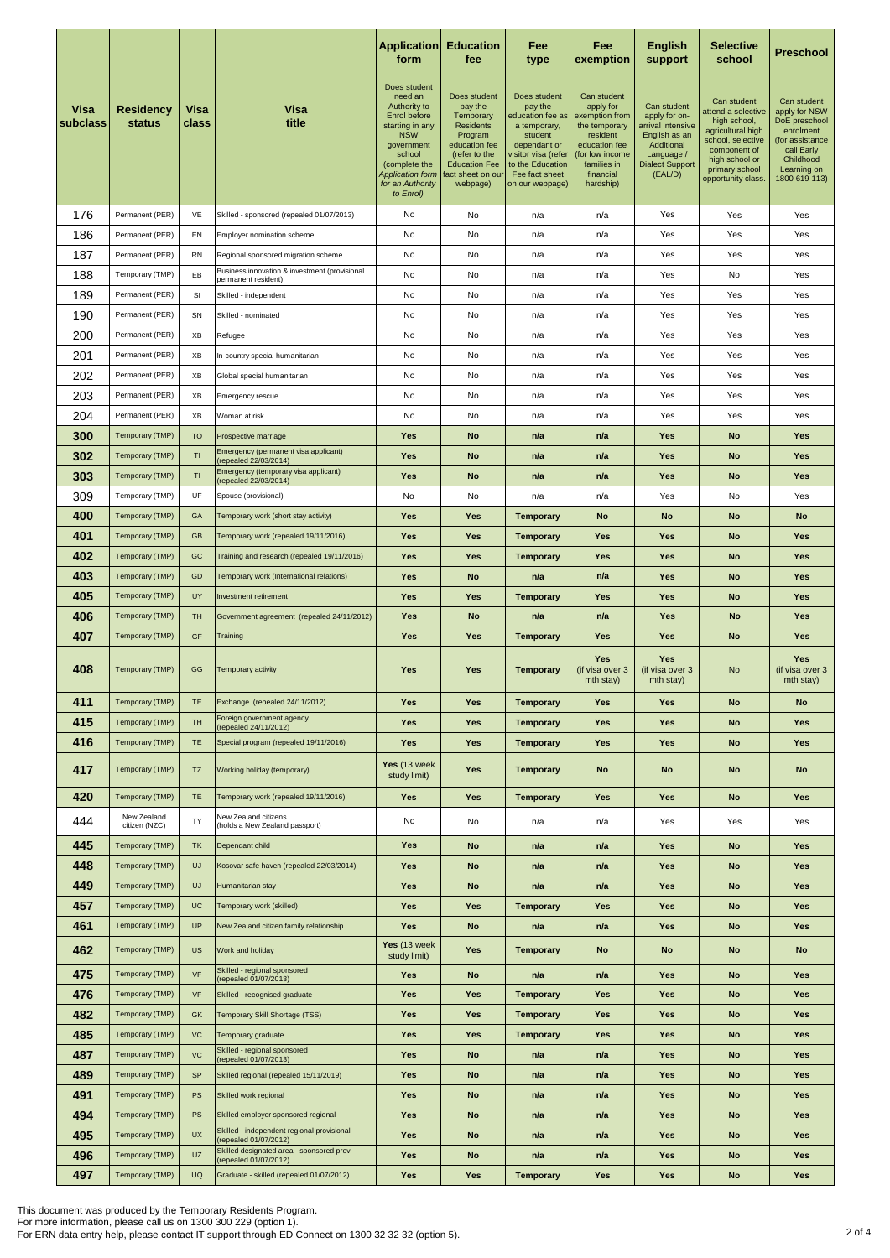|                  |                                    |                 |                                                                      | <b>Application</b><br>form                                                                                                                                                                    | <b>Education</b><br>fee                                                                                                                                       | Fee<br>type                                                                                                                                                            | Fee<br>exemption                                                                                                                                     | <b>English</b><br>support                                                                                                           | <b>Selective</b><br>school                                                                                                                                            | Preschool                                                                                                                                |
|------------------|------------------------------------|-----------------|----------------------------------------------------------------------|-----------------------------------------------------------------------------------------------------------------------------------------------------------------------------------------------|---------------------------------------------------------------------------------------------------------------------------------------------------------------|------------------------------------------------------------------------------------------------------------------------------------------------------------------------|------------------------------------------------------------------------------------------------------------------------------------------------------|-------------------------------------------------------------------------------------------------------------------------------------|-----------------------------------------------------------------------------------------------------------------------------------------------------------------------|------------------------------------------------------------------------------------------------------------------------------------------|
| Visa<br>subclass | <b>Residency</b><br>status         | Visa<br>class   | Visa<br>title                                                        | Does student<br>need an<br>Authority to<br>Enrol before<br>starting in any<br><b>NSW</b><br>government<br>school<br>(complete the<br><b>Application form</b><br>for an Authority<br>to Enrol) | Does student<br>pay the<br>Temporary<br><b>Residents</b><br>Program<br>education fee<br>(refer to the<br><b>Education Fee</b><br>act sheet on our<br>webpage) | Does student<br>pay the<br>education fee as<br>a temporary,<br>student<br>dependant or<br>visitor visa (refer<br>to the Education<br>Fee fact sheet<br>on our webpage) | Can student<br>apply for<br>exemption from<br>the temporary<br>resident<br>education fee<br>(for low income<br>families in<br>financial<br>hardship) | Can student<br>apply for on-<br>arrival intensive<br>English as an<br>Additional<br>Language /<br><b>Dialect Support</b><br>(EAL/D) | Can student<br>attend a selective<br>high school,<br>agricultural high<br>school, selective<br>component of<br>high school or<br>primary school<br>opportunity class. | Can student<br>apply for NSW<br>DoE preschool<br>enrolment<br>(for assistance<br>call Early<br>Childhood<br>Learning on<br>1800 619 113) |
| 176              | Permanent (PER)                    | VE              | Skilled - sponsored (repealed 01/07/2013)                            | No                                                                                                                                                                                            | No                                                                                                                                                            | n/a                                                                                                                                                                    | n/a                                                                                                                                                  | Yes                                                                                                                                 | Yes                                                                                                                                                                   | Yes                                                                                                                                      |
| 186              | Permanent (PER)                    | EN              | Employer nomination scheme                                           | No                                                                                                                                                                                            | No                                                                                                                                                            | n/a                                                                                                                                                                    | n/a                                                                                                                                                  | Yes                                                                                                                                 | Yes                                                                                                                                                                   | Yes                                                                                                                                      |
| 187              | Permanent (PER)                    | <b>RN</b>       | Regional sponsored migration scheme                                  | No                                                                                                                                                                                            | No                                                                                                                                                            | n/a                                                                                                                                                                    | n/a                                                                                                                                                  | Yes                                                                                                                                 | Yes                                                                                                                                                                   | Yes                                                                                                                                      |
| 188              | Temporary (TMP)                    | EB              | Business innovation & investment (provisional<br>permanent resident) | No                                                                                                                                                                                            | No                                                                                                                                                            | n/a                                                                                                                                                                    | n/a                                                                                                                                                  | Yes                                                                                                                                 | No                                                                                                                                                                    | Yes                                                                                                                                      |
| 189              | Permanent (PER)                    | SI              | Skilled - independent                                                | No                                                                                                                                                                                            | No                                                                                                                                                            | n/a                                                                                                                                                                    | n/a                                                                                                                                                  | Yes                                                                                                                                 | Yes                                                                                                                                                                   | Yes                                                                                                                                      |
| 190              | Permanent (PER)                    | SN              | Skilled - nominated                                                  | No                                                                                                                                                                                            | No                                                                                                                                                            | n/a                                                                                                                                                                    | n/a                                                                                                                                                  | Yes                                                                                                                                 | Yes                                                                                                                                                                   | Yes                                                                                                                                      |
| 200              | Permanent (PER)                    | XB              | Refugee                                                              | No                                                                                                                                                                                            | No                                                                                                                                                            | n/a                                                                                                                                                                    | n/a                                                                                                                                                  | Yes                                                                                                                                 | Yes                                                                                                                                                                   | Yes                                                                                                                                      |
| 201              | Permanent (PER)                    | XB              | In-country special humanitarian                                      | No                                                                                                                                                                                            | No                                                                                                                                                            | n/a                                                                                                                                                                    | n/a                                                                                                                                                  | Yes                                                                                                                                 | Yes                                                                                                                                                                   | Yes                                                                                                                                      |
| 202              | Permanent (PER)                    | XB              | Global special humanitarian                                          | No                                                                                                                                                                                            | No                                                                                                                                                            | n/a                                                                                                                                                                    | n/a                                                                                                                                                  | Yes                                                                                                                                 | Yes                                                                                                                                                                   | Yes                                                                                                                                      |
| 203              | Permanent (PER)                    | ХB              | Emergency rescue                                                     | No                                                                                                                                                                                            | No                                                                                                                                                            | n/a                                                                                                                                                                    | n/a                                                                                                                                                  | Yes                                                                                                                                 | Yes                                                                                                                                                                   | Yes                                                                                                                                      |
| 204              | Permanent (PER)                    | XB              | Woman at risk                                                        | No                                                                                                                                                                                            | No                                                                                                                                                            | n/a                                                                                                                                                                    | n/a                                                                                                                                                  | Yes                                                                                                                                 | Yes                                                                                                                                                                   | Yes                                                                                                                                      |
| 300              | Temporary (TMP)                    | <b>TO</b>       | Prospective marriage                                                 | Yes                                                                                                                                                                                           | No                                                                                                                                                            | n/a                                                                                                                                                                    | n/a                                                                                                                                                  | Yes                                                                                                                                 | No                                                                                                                                                                    | Yes                                                                                                                                      |
| 302              | Temporary (TMP)                    | TI              | Emergency (permanent visa applicant)<br>(repealed 22/03/2014)        | Yes                                                                                                                                                                                           | No                                                                                                                                                            | n/a                                                                                                                                                                    | n/a                                                                                                                                                  | Yes                                                                                                                                 | No                                                                                                                                                                    | Yes                                                                                                                                      |
| 303              | Temporary (TMP)                    | TI              | Emergency (temporary visa applicant)<br>(repealed 22/03/2014)        | Yes                                                                                                                                                                                           | No                                                                                                                                                            | n/a                                                                                                                                                                    | n/a                                                                                                                                                  | Yes                                                                                                                                 | No                                                                                                                                                                    | Yes                                                                                                                                      |
| 309              | Temporary (TMP)                    | UF              | Spouse (provisional)                                                 | No                                                                                                                                                                                            | No                                                                                                                                                            | n/a                                                                                                                                                                    | n/a                                                                                                                                                  | Yes                                                                                                                                 | No                                                                                                                                                                    | Yes                                                                                                                                      |
| 400              | Temporary (TMP)                    | GA              | Temporary work (short stay activity)                                 | Yes                                                                                                                                                                                           | Yes                                                                                                                                                           | <b>Temporary</b>                                                                                                                                                       | No                                                                                                                                                   | <b>No</b>                                                                                                                           | No                                                                                                                                                                    | <b>No</b>                                                                                                                                |
| 401              | Temporary (TMP)                    | <b>GB</b>       | Temporary work (repealed 19/11/2016)                                 | Yes                                                                                                                                                                                           | Yes                                                                                                                                                           | <b>Temporary</b>                                                                                                                                                       | Yes                                                                                                                                                  | <b>Yes</b>                                                                                                                          | No                                                                                                                                                                    | Yes                                                                                                                                      |
| 402              | Temporary (TMP)                    | GC              | Training and research (repealed 19/11/2016)                          | Yes                                                                                                                                                                                           | Yes                                                                                                                                                           | <b>Temporary</b>                                                                                                                                                       | Yes                                                                                                                                                  | <b>Yes</b>                                                                                                                          | <b>No</b>                                                                                                                                                             | Yes                                                                                                                                      |
| 403              | Temporary (TMP)                    | GD              | Temporary work (International relations)                             | Yes                                                                                                                                                                                           | No                                                                                                                                                            | n/a                                                                                                                                                                    | n/a                                                                                                                                                  | <b>Yes</b>                                                                                                                          | No                                                                                                                                                                    | Yes                                                                                                                                      |
| 405              | Temporary (TMP)                    | UY              | Investment retirement                                                | Yes                                                                                                                                                                                           | Yes                                                                                                                                                           | <b>Temporary</b>                                                                                                                                                       | Yes                                                                                                                                                  | <b>Yes</b>                                                                                                                          | No                                                                                                                                                                    | Yes                                                                                                                                      |
| 406              | Temporary (TMP)                    | TH              | Government agreement (repealed 24/11/2012)                           | Yes                                                                                                                                                                                           | No                                                                                                                                                            | n/a                                                                                                                                                                    | n/a                                                                                                                                                  | Yes                                                                                                                                 | <b>No</b>                                                                                                                                                             | Yes                                                                                                                                      |
| 407              | Temporary (TMP)                    | GF              | Training                                                             | <b>Yes</b>                                                                                                                                                                                    | Yes                                                                                                                                                           | <b>Temporary</b>                                                                                                                                                       | Yes                                                                                                                                                  | <b>Yes</b>                                                                                                                          | No                                                                                                                                                                    | Yes                                                                                                                                      |
| 408              | Temporary (TMP)                    | GG              | Temporary activity                                                   | <b>Yes</b>                                                                                                                                                                                    | Yes                                                                                                                                                           | <b>Temporary</b>                                                                                                                                                       | Yes<br>(if visa over 3<br>mth stay)                                                                                                                  | Yes<br>(if visa over 3<br>mth stay)                                                                                                 | <b>No</b>                                                                                                                                                             | Yes<br>(if visa over 3<br>mth stay)                                                                                                      |
| 411              | Temporary (TMP)                    | TE              | Exchange (repealed 24/11/2012)                                       | Yes                                                                                                                                                                                           | Yes                                                                                                                                                           | Temporary                                                                                                                                                              | Yes                                                                                                                                                  | Yes                                                                                                                                 | No                                                                                                                                                                    | No                                                                                                                                       |
| 415              | Temporary (TMP)                    | <b>TH</b>       | Foreign government agency<br>(repealed 24/11/2012)                   | <b>Yes</b>                                                                                                                                                                                    | Yes                                                                                                                                                           | <b>Temporary</b>                                                                                                                                                       | <b>Yes</b>                                                                                                                                           | <b>Yes</b>                                                                                                                          | <b>No</b>                                                                                                                                                             | <b>Yes</b>                                                                                                                               |
| 416              | Temporary (TMP)                    | <b>TE</b>       | Special program (repealed 19/11/2016)                                | <b>Yes</b>                                                                                                                                                                                    | Yes                                                                                                                                                           | <b>Temporary</b>                                                                                                                                                       | Yes                                                                                                                                                  | <b>Yes</b>                                                                                                                          | <b>No</b>                                                                                                                                                             | <b>Yes</b>                                                                                                                               |
| 417              | Temporary (TMP)                    | TZ              | Working holiday (temporary)                                          | Yes (13 week)<br>study limit)                                                                                                                                                                 | Yes                                                                                                                                                           | <b>Temporary</b>                                                                                                                                                       | No                                                                                                                                                   | No                                                                                                                                  | No                                                                                                                                                                    | <b>No</b>                                                                                                                                |
| 420              | Temporary (TMP)                    | <b>TE</b>       | Temporary work (repealed 19/11/2016)                                 | <b>Yes</b>                                                                                                                                                                                    | <b>Yes</b>                                                                                                                                                    | <b>Temporary</b>                                                                                                                                                       | <b>Yes</b>                                                                                                                                           | <b>Yes</b>                                                                                                                          | <b>No</b>                                                                                                                                                             | <b>Yes</b>                                                                                                                               |
| 444              | New Zealand<br>citizen (NZC)       | TY              | New Zealand citizens<br>(holds a New Zealand passport)               | No                                                                                                                                                                                            | No                                                                                                                                                            | n/a                                                                                                                                                                    | n/a                                                                                                                                                  | Yes                                                                                                                                 | Yes                                                                                                                                                                   | Yes                                                                                                                                      |
| 445              | Temporary (TMP)                    | TK              | Dependant child                                                      | Yes                                                                                                                                                                                           | No                                                                                                                                                            | n/a                                                                                                                                                                    | n/a                                                                                                                                                  | Yes                                                                                                                                 | <b>No</b>                                                                                                                                                             | <b>Yes</b>                                                                                                                               |
| 448              | Temporary (TMP)                    | UJ              | Kosovar safe haven (repealed 22/03/2014)<br>Humanitarian stay        | <b>Yes</b>                                                                                                                                                                                    | No                                                                                                                                                            | n/a                                                                                                                                                                    | n/a                                                                                                                                                  | <b>Yes</b>                                                                                                                          | <b>No</b>                                                                                                                                                             | <b>Yes</b>                                                                                                                               |
| 449              | Temporary (TMP)                    | UJ              |                                                                      | Yes                                                                                                                                                                                           | No                                                                                                                                                            | n/a                                                                                                                                                                    | n/a                                                                                                                                                  | Yes                                                                                                                                 | No                                                                                                                                                                    | <b>Yes</b>                                                                                                                               |
| 457              | Temporary (TMP)                    | <b>UC</b>       | Temporary work (skilled)                                             | Yes                                                                                                                                                                                           | Yes                                                                                                                                                           | <b>Temporary</b>                                                                                                                                                       | <b>Yes</b>                                                                                                                                           | <b>Yes</b>                                                                                                                          | <b>No</b>                                                                                                                                                             | Yes                                                                                                                                      |
| 461<br>462       | Temporary (TMP)<br>Temporary (TMP) | <b>UP</b><br>US | New Zealand citizen family relationship<br>Work and holiday          | Yes<br>Yes (13 week<br>study limit)                                                                                                                                                           | No<br>Yes                                                                                                                                                     | n/a<br><b>Temporary</b>                                                                                                                                                | n/a<br>No                                                                                                                                            | Yes<br><b>No</b>                                                                                                                    | No<br>No                                                                                                                                                              | Yes<br>No                                                                                                                                |
| 475              | Temporary (TMP)                    | VF              | Skilled - regional sponsored                                         | Yes                                                                                                                                                                                           | No                                                                                                                                                            | n/a                                                                                                                                                                    | n/a                                                                                                                                                  | <b>Yes</b>                                                                                                                          | No                                                                                                                                                                    | <b>Yes</b>                                                                                                                               |
| 476              | Temporary (TMP)                    | VF              | (repealed 01/07/2013)<br>Skilled - recognised graduate               | <b>Yes</b>                                                                                                                                                                                    | Yes                                                                                                                                                           | <b>Temporary</b>                                                                                                                                                       | Yes                                                                                                                                                  | <b>Yes</b>                                                                                                                          | No                                                                                                                                                                    | Yes                                                                                                                                      |
| 482              | Temporary (TMP)                    | GK              | Temporary Skill Shortage (TSS)                                       | Yes                                                                                                                                                                                           | Yes                                                                                                                                                           | <b>Temporary</b>                                                                                                                                                       | Yes                                                                                                                                                  | Yes                                                                                                                                 | No                                                                                                                                                                    | Yes                                                                                                                                      |
| 485              | Temporary (TMP)                    | <b>VC</b>       | Temporary graduate                                                   | <b>Yes</b>                                                                                                                                                                                    | Yes                                                                                                                                                           | <b>Temporary</b>                                                                                                                                                       | <b>Yes</b>                                                                                                                                           | <b>Yes</b>                                                                                                                          | No                                                                                                                                                                    | <b>Yes</b>                                                                                                                               |
| 487              | Temporary (TMP)                    | <b>VC</b>       | Skilled - regional sponsored                                         | <b>Yes</b>                                                                                                                                                                                    | No                                                                                                                                                            | n/a                                                                                                                                                                    | n/a                                                                                                                                                  | <b>Yes</b>                                                                                                                          | <b>No</b>                                                                                                                                                             | <b>Yes</b>                                                                                                                               |
| 489              | Temporary (TMP)                    | <b>SP</b>       | (repealed 01/07/2013)<br>Skilled regional (repealed 15/11/2019)      | <b>Yes</b>                                                                                                                                                                                    | No                                                                                                                                                            | n/a                                                                                                                                                                    | n/a                                                                                                                                                  | <b>Yes</b>                                                                                                                          | No                                                                                                                                                                    | <b>Yes</b>                                                                                                                               |
| 491              | Temporary (TMP)                    | PS              | Skilled work regional                                                | <b>Yes</b>                                                                                                                                                                                    | <b>No</b>                                                                                                                                                     | n/a                                                                                                                                                                    | n/a                                                                                                                                                  | <b>Yes</b>                                                                                                                          | <b>No</b>                                                                                                                                                             | <b>Yes</b>                                                                                                                               |
| 494              | Temporary (TMP)                    | PS              | Skilled employer sponsored regional                                  | <b>Yes</b>                                                                                                                                                                                    | No                                                                                                                                                            | n/a                                                                                                                                                                    | n/a                                                                                                                                                  | <b>Yes</b>                                                                                                                          | No                                                                                                                                                                    | <b>Yes</b>                                                                                                                               |
| 495              | Temporary (TMP)                    | <b>UX</b>       | Skilled - independent regional provisional                           | <b>Yes</b>                                                                                                                                                                                    | <b>No</b>                                                                                                                                                     | n/a                                                                                                                                                                    | n/a                                                                                                                                                  | <b>Yes</b>                                                                                                                          | <b>No</b>                                                                                                                                                             | <b>Yes</b>                                                                                                                               |
| 496              | Temporary (TMP)                    | UZ              | (repealed 01/07/2012)<br>Skilled designated area - sponsored prov    | <b>Yes</b>                                                                                                                                                                                    | No                                                                                                                                                            | n/a                                                                                                                                                                    | n/a                                                                                                                                                  | <b>Yes</b>                                                                                                                          | No                                                                                                                                                                    | <b>Yes</b>                                                                                                                               |
| 497              | Temporary (TMP)                    | UQ              | (repealed 01/07/2012)<br>Graduate - skilled (repealed 01/07/2012)    | <b>Yes</b>                                                                                                                                                                                    | Yes                                                                                                                                                           | <b>Temporary</b>                                                                                                                                                       | <b>Yes</b>                                                                                                                                           | <b>Yes</b>                                                                                                                          | No                                                                                                                                                                    | <b>Yes</b>                                                                                                                               |

This document was produced by the Temporary Residents Program.<br>For more information, please call us on 1300 300 229 (option 1).<br>For ERN data entry help, please contact IT support through ED Connect on 1300 32 32 32 (option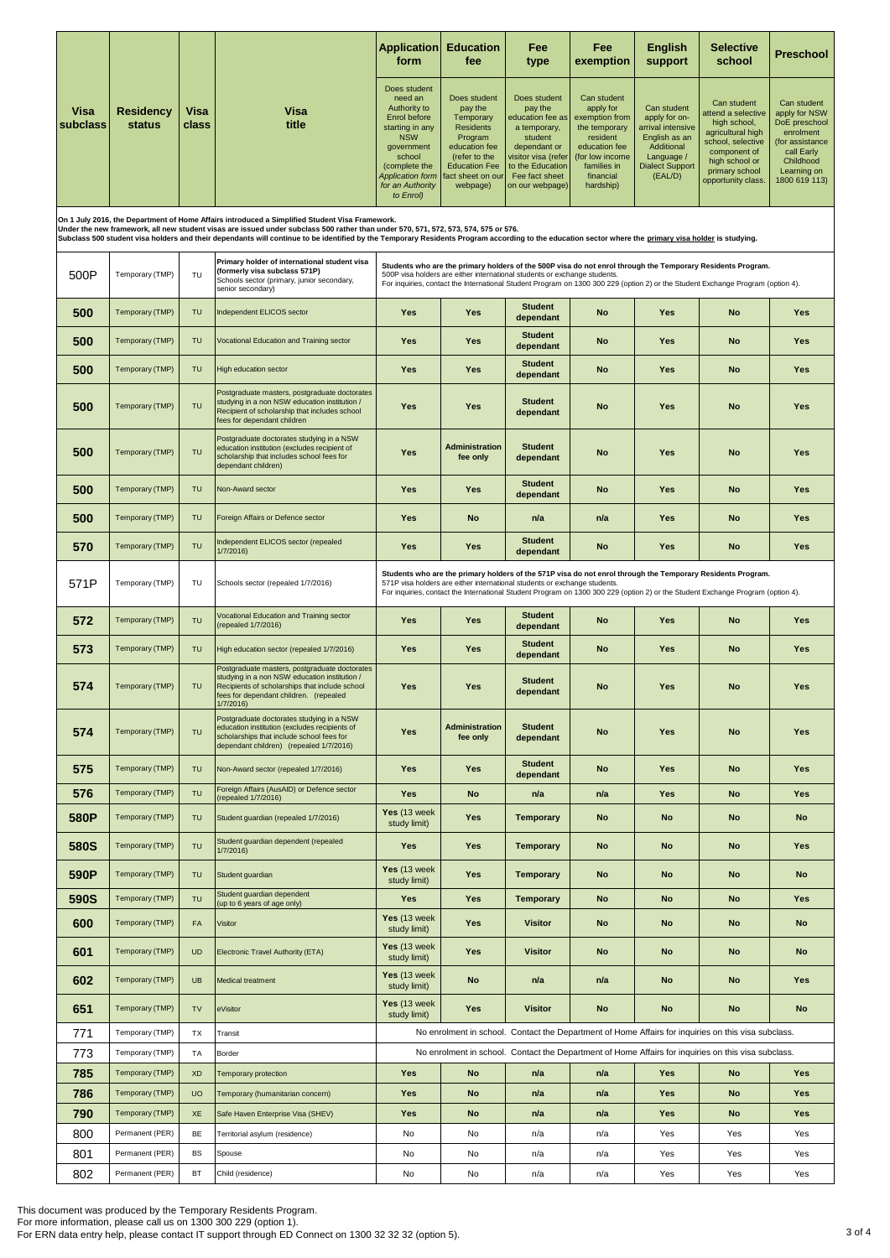|                  |                            |               |                                                                                                                                                                                                                                       | <b>Application</b><br>form                                                                                                                                                             | <b>Education</b><br>fee                                                                                                                                       | Fee<br>type                                                                                                                                                            | Fee<br>exemption                                                                                                                                     | <b>English</b><br>support                                                                                                           | <b>Selective</b><br>school                                                                                                                                                                                                                     | <b>Preschool</b>                                                                                                                         |
|------------------|----------------------------|---------------|---------------------------------------------------------------------------------------------------------------------------------------------------------------------------------------------------------------------------------------|----------------------------------------------------------------------------------------------------------------------------------------------------------------------------------------|---------------------------------------------------------------------------------------------------------------------------------------------------------------|------------------------------------------------------------------------------------------------------------------------------------------------------------------------|------------------------------------------------------------------------------------------------------------------------------------------------------|-------------------------------------------------------------------------------------------------------------------------------------|------------------------------------------------------------------------------------------------------------------------------------------------------------------------------------------------------------------------------------------------|------------------------------------------------------------------------------------------------------------------------------------------|
| Visa<br>subclass | <b>Residency</b><br>status | Visa<br>class | Visa<br>title                                                                                                                                                                                                                         | Does student<br>need an<br>Authority to<br>Enrol before<br>starting in any<br><b>NSW</b><br>government<br>school<br>(complete the<br>Application form<br>for an Authority<br>to Enrol) | Does student<br>pay the<br>Temporary<br><b>Residents</b><br>Program<br>education fee<br>(refer to the<br><b>Education Fee</b><br>act sheet on our<br>webpage) | Does student<br>pay the<br>education fee as<br>a temporary,<br>student<br>dependant or<br>visitor visa (refer<br>to the Education<br>Fee fact sheet<br>on our webpage) | Can student<br>apply for<br>exemption from<br>the temporary<br>resident<br>education fee<br>(for low income<br>families in<br>financial<br>hardship) | Can student<br>apply for on-<br>arrival intensive<br>English as an<br>Additional<br>Language /<br><b>Dialect Support</b><br>(EAL/D) | Can student<br>attend a selective<br>high school,<br>agricultural high<br>school, selective<br>component of<br>high school or<br>primary school<br>opportunity class.                                                                          | Can student<br>apply for NSW<br>DoE preschool<br>enrolment<br>(for assistance<br>call Early<br>Childhood<br>Learning on<br>1800 619 113) |
|                  |                            |               | On 1 July 2016, the Department of Home Affairs introduced a Simplified Student Visa Framework.<br>Under the new framework, all new student visas are issued under subclass 500 rather than under 570, 571, 572, 573, 574, 575 or 576. |                                                                                                                                                                                        |                                                                                                                                                               |                                                                                                                                                                        |                                                                                                                                                      |                                                                                                                                     |                                                                                                                                                                                                                                                |                                                                                                                                          |
|                  |                            |               | Subclass 500 student visa holders and their dependants will continue to be identified by the Temporary Residents Program according to the education sector where the primary visa holder is studying.                                 |                                                                                                                                                                                        |                                                                                                                                                               |                                                                                                                                                                        |                                                                                                                                                      |                                                                                                                                     |                                                                                                                                                                                                                                                |                                                                                                                                          |
| 500P             | Temporary (TMP)            | TU            | Primary holder of international student visa<br>(formerly visa subclass 571P)<br>Schools sector (primary, junior secondary,<br>senior secondary)                                                                                      |                                                                                                                                                                                        |                                                                                                                                                               | 500P visa holders are either international students or exchange students.                                                                                              |                                                                                                                                                      |                                                                                                                                     | Students who are the primary holders of the 500P visa do not enrol through the Temporary Residents Program.<br>For inquiries, contact the International Student Program on 1300 300 229 (option 2) or the Student Exchange Program (option 4). |                                                                                                                                          |
| 500              | Temporary (TMP)            | TU            | Independent ELICOS sector                                                                                                                                                                                                             | Yes                                                                                                                                                                                    | Yes                                                                                                                                                           | <b>Student</b><br>dependant                                                                                                                                            | No                                                                                                                                                   | Yes                                                                                                                                 | <b>No</b>                                                                                                                                                                                                                                      | Yes                                                                                                                                      |
| 500              | Temporary (TMP)            | TU            | Vocational Education and Training sector                                                                                                                                                                                              | Yes                                                                                                                                                                                    | Yes                                                                                                                                                           | <b>Student</b><br>dependant                                                                                                                                            | No                                                                                                                                                   | Yes                                                                                                                                 | <b>No</b>                                                                                                                                                                                                                                      | Yes                                                                                                                                      |
| 500              | Temporary (TMP)            | TU            | <b>High education sector</b>                                                                                                                                                                                                          | Yes                                                                                                                                                                                    | Yes                                                                                                                                                           | <b>Student</b><br>dependant                                                                                                                                            | <b>No</b>                                                                                                                                            | Yes                                                                                                                                 | <b>No</b>                                                                                                                                                                                                                                      | Yes                                                                                                                                      |
| 500              | Temporary (TMP)            | TU            | Postgraduate masters, postgraduate doctorates<br>studying in a non NSW education institution /<br>Recipient of scholarship that includes school<br>fees for dependant children                                                        | Yes                                                                                                                                                                                    | Yes                                                                                                                                                           | <b>Student</b><br>dependant                                                                                                                                            | No                                                                                                                                                   | Yes                                                                                                                                 | No                                                                                                                                                                                                                                             | Yes                                                                                                                                      |
| 500              | Temporary (TMP)            | TU            | Postgraduate doctorates studying in a NSW<br>education institution (excludes recipient of<br>scholarship that includes school fees for<br>dependant children)                                                                         | <b>Yes</b>                                                                                                                                                                             | <b>Administration</b><br>fee only                                                                                                                             | <b>Student</b><br>dependant                                                                                                                                            | No                                                                                                                                                   | Yes                                                                                                                                 | <b>No</b>                                                                                                                                                                                                                                      | Yes                                                                                                                                      |
| 500              | Temporary (TMP)            | TU            | Non-Award sector                                                                                                                                                                                                                      | Yes                                                                                                                                                                                    | Yes                                                                                                                                                           | <b>Student</b><br>dependant                                                                                                                                            | No                                                                                                                                                   | Yes                                                                                                                                 | <b>No</b>                                                                                                                                                                                                                                      | Yes                                                                                                                                      |
| 500              | Temporary (TMP)            | TU            | Foreign Affairs or Defence sector                                                                                                                                                                                                     | Yes                                                                                                                                                                                    | No                                                                                                                                                            | n/a                                                                                                                                                                    | n/a                                                                                                                                                  | Yes                                                                                                                                 | <b>No</b>                                                                                                                                                                                                                                      | Yes                                                                                                                                      |
| 570              | Temporary (TMP)            | TU            | Independent ELICOS sector (repealed<br>1/7/2016)                                                                                                                                                                                      | Yes                                                                                                                                                                                    | Yes                                                                                                                                                           | <b>Student</b><br>dependant                                                                                                                                            | No                                                                                                                                                   | Yes                                                                                                                                 | <b>No</b>                                                                                                                                                                                                                                      | Yes                                                                                                                                      |
| 571P             | Temporary (TMP)            | TU            | Schools sector (repealed 1/7/2016)                                                                                                                                                                                                    |                                                                                                                                                                                        |                                                                                                                                                               | 571P visa holders are either international students or exchange students.                                                                                              |                                                                                                                                                      |                                                                                                                                     | Students who are the primary holders of the 571P visa do not enrol through the Temporary Residents Program.<br>For inquiries, contact the International Student Program on 1300 300 229 (option 2) or the Student Exchange Program (option 4). |                                                                                                                                          |
| 572              | Temporary (TMP)            | TU            | Vocational Education and Training sector<br>repealed 1/7/2016)                                                                                                                                                                        | Yes                                                                                                                                                                                    | Yes                                                                                                                                                           | <b>Student</b><br>dependant                                                                                                                                            | No                                                                                                                                                   | Yes                                                                                                                                 | No                                                                                                                                                                                                                                             | Yes                                                                                                                                      |
| 573              | Temporary (TMP)            | TU            | High education sector (repealed 1/7/2016)                                                                                                                                                                                             | Yes                                                                                                                                                                                    | Yes                                                                                                                                                           | <b>Student</b><br>dependant                                                                                                                                            | No                                                                                                                                                   | Yes                                                                                                                                 | <b>No</b>                                                                                                                                                                                                                                      | Yes                                                                                                                                      |
| 574              | Temporary (TMP)            | TU            | Postgraduate masters, postgraduate doctorates<br>studying in a non NSW education institution /<br>Recipients of scholarships that include school<br>fees for dependant children. (repealed<br>1/7/2016)                               | Yes                                                                                                                                                                                    | Yes                                                                                                                                                           | <b>Student</b><br>dependant                                                                                                                                            | No                                                                                                                                                   | Yes                                                                                                                                 | <b>No</b>                                                                                                                                                                                                                                      | Yes                                                                                                                                      |
| 574              | Temporary (TMP)            | TU            | Postgraduate doctorates studying in a NSW<br>education institution (excludes recipients of<br>scholarships that include school fees for<br>dependant children) (repealed 1/7/2016)                                                    | <b>Yes</b>                                                                                                                                                                             | <b>Administration</b><br>fee only                                                                                                                             | <b>Student</b><br>dependant                                                                                                                                            | <b>No</b>                                                                                                                                            | Yes                                                                                                                                 | <b>No</b>                                                                                                                                                                                                                                      | <b>Yes</b>                                                                                                                               |
| 575              | Temporary (TMP)            | TU            | Non-Award sector (repealed 1/7/2016)                                                                                                                                                                                                  | <b>Yes</b>                                                                                                                                                                             | Yes                                                                                                                                                           | <b>Student</b><br>dependant                                                                                                                                            | <b>No</b>                                                                                                                                            | Yes                                                                                                                                 | <b>No</b>                                                                                                                                                                                                                                      | <b>Yes</b>                                                                                                                               |
| 576              | Temporary (TMP)            | TU            | Foreign Affairs (AusAID) or Defence sector<br>(repealed 1/7/2016)                                                                                                                                                                     | <b>Yes</b>                                                                                                                                                                             | No                                                                                                                                                            | n/a                                                                                                                                                                    | n/a                                                                                                                                                  | Yes                                                                                                                                 | No                                                                                                                                                                                                                                             | Yes                                                                                                                                      |
| 580P             | Temporary (TMP)            | TU            | Student guardian (repealed 1/7/2016)                                                                                                                                                                                                  | Yes (13 week<br>study limit)                                                                                                                                                           | <b>Yes</b>                                                                                                                                                    | <b>Temporary</b>                                                                                                                                                       | No                                                                                                                                                   | <b>No</b>                                                                                                                           | No                                                                                                                                                                                                                                             | <b>No</b>                                                                                                                                |
| 580S             | Temporary (TMP)            | TU            | Student guardian dependent (repealed<br>1/7/2016)                                                                                                                                                                                     | <b>Yes</b>                                                                                                                                                                             | <b>Yes</b>                                                                                                                                                    | <b>Temporary</b>                                                                                                                                                       | <b>No</b>                                                                                                                                            | <b>No</b>                                                                                                                           | <b>No</b>                                                                                                                                                                                                                                      | <b>Yes</b>                                                                                                                               |
| 590P             | Temporary (TMP)            | TU            | Student quardian                                                                                                                                                                                                                      | Yes (13 week<br>study limit)                                                                                                                                                           | Yes                                                                                                                                                           | <b>Temporary</b>                                                                                                                                                       | <b>No</b>                                                                                                                                            | <b>No</b>                                                                                                                           | <b>No</b>                                                                                                                                                                                                                                      | No                                                                                                                                       |
| 590S             | Temporary (TMP)            | TU            | Student guardian dependent<br>(up to 6 years of age only)                                                                                                                                                                             | Yes                                                                                                                                                                                    | Yes                                                                                                                                                           | <b>Temporary</b>                                                                                                                                                       | <b>No</b>                                                                                                                                            | <b>No</b>                                                                                                                           | <b>No</b>                                                                                                                                                                                                                                      | <b>Yes</b>                                                                                                                               |
| 600              | Temporary (TMP)            | FA            | Visitor                                                                                                                                                                                                                               | Yes (13 week<br>study limit)                                                                                                                                                           | Yes                                                                                                                                                           | <b>Visitor</b>                                                                                                                                                         | No                                                                                                                                                   | <b>No</b>                                                                                                                           | <b>No</b>                                                                                                                                                                                                                                      | <b>No</b>                                                                                                                                |
| 601              | Temporary (TMP)            | <b>UD</b>     | Electronic Travel Authority (ETA)                                                                                                                                                                                                     | Yes (13 week<br>study limit)                                                                                                                                                           | Yes                                                                                                                                                           | <b>Visitor</b>                                                                                                                                                         | <b>No</b>                                                                                                                                            | <b>No</b>                                                                                                                           | <b>No</b>                                                                                                                                                                                                                                      | <b>No</b>                                                                                                                                |
| 602              | Temporary (TMP)            | <b>UB</b>     | Medical treatment                                                                                                                                                                                                                     | Yes (13 week<br>study limit)                                                                                                                                                           | <b>No</b>                                                                                                                                                     | n/a                                                                                                                                                                    | n/a                                                                                                                                                  | <b>No</b>                                                                                                                           | <b>No</b>                                                                                                                                                                                                                                      | <b>Yes</b>                                                                                                                               |
| 651              | Temporary (TMP)            | <b>TV</b>     | eVisitor                                                                                                                                                                                                                              | Yes (13 week<br>study limit)                                                                                                                                                           | <b>Yes</b>                                                                                                                                                    | <b>Visitor</b>                                                                                                                                                         | <b>No</b>                                                                                                                                            | <b>No</b>                                                                                                                           | <b>No</b>                                                                                                                                                                                                                                      | No                                                                                                                                       |
| 771              | Temporary (TMP)            | TX            | Transit                                                                                                                                                                                                                               |                                                                                                                                                                                        |                                                                                                                                                               |                                                                                                                                                                        |                                                                                                                                                      |                                                                                                                                     | No enrolment in school. Contact the Department of Home Affairs for inquiries on this visa subclass.                                                                                                                                            |                                                                                                                                          |
| 773              | Temporary (TMP)            | TA            | Border                                                                                                                                                                                                                                |                                                                                                                                                                                        |                                                                                                                                                               |                                                                                                                                                                        |                                                                                                                                                      |                                                                                                                                     | No enrolment in school. Contact the Department of Home Affairs for inquiries on this visa subclass.                                                                                                                                            |                                                                                                                                          |
| 785              | Temporary (TMP)            | <b>XD</b>     | Temporary protection                                                                                                                                                                                                                  | <b>Yes</b>                                                                                                                                                                             | No                                                                                                                                                            | n/a                                                                                                                                                                    | n/a                                                                                                                                                  | Yes                                                                                                                                 | <b>No</b>                                                                                                                                                                                                                                      | <b>Yes</b>                                                                                                                               |
| 786              | Temporary (TMP)            | <b>UO</b>     | Temporary (humanitarian concern)                                                                                                                                                                                                      | <b>Yes</b>                                                                                                                                                                             | <b>No</b>                                                                                                                                                     | n/a                                                                                                                                                                    | n/a                                                                                                                                                  | Yes                                                                                                                                 | <b>No</b>                                                                                                                                                                                                                                      | Yes                                                                                                                                      |
| 790              | Temporary (TMP)            | XE            | Safe Haven Enterprise Visa (SHEV)                                                                                                                                                                                                     | Yes                                                                                                                                                                                    | No                                                                                                                                                            | n/a                                                                                                                                                                    | n/a                                                                                                                                                  | Yes                                                                                                                                 | <b>No</b>                                                                                                                                                                                                                                      | <b>Yes</b>                                                                                                                               |
| 800              | Permanent (PER)            | BE            | Territorial asylum (residence)                                                                                                                                                                                                        | No                                                                                                                                                                                     | No                                                                                                                                                            | n/a                                                                                                                                                                    | n/a                                                                                                                                                  | Yes                                                                                                                                 | Yes                                                                                                                                                                                                                                            | Yes                                                                                                                                      |
| 801              | Permanent (PER)            | <b>BS</b>     | Spouse                                                                                                                                                                                                                                | No                                                                                                                                                                                     | No                                                                                                                                                            | n/a                                                                                                                                                                    | n/a                                                                                                                                                  | Yes                                                                                                                                 | Yes                                                                                                                                                                                                                                            | Yes                                                                                                                                      |
| 802              | Permanent (PER)            | BT            | Child (residence)                                                                                                                                                                                                                     | No                                                                                                                                                                                     | No                                                                                                                                                            | n/a                                                                                                                                                                    | n/a                                                                                                                                                  | Yes                                                                                                                                 | Yes                                                                                                                                                                                                                                            | Yes                                                                                                                                      |

This document was produced by the Temporary Residents Program.<br>For more information, please call us on 1300 300 229 (option 1).<br>For ERN data entry help, please contact IT support through ED Connect on 1300 32 32 32 (option